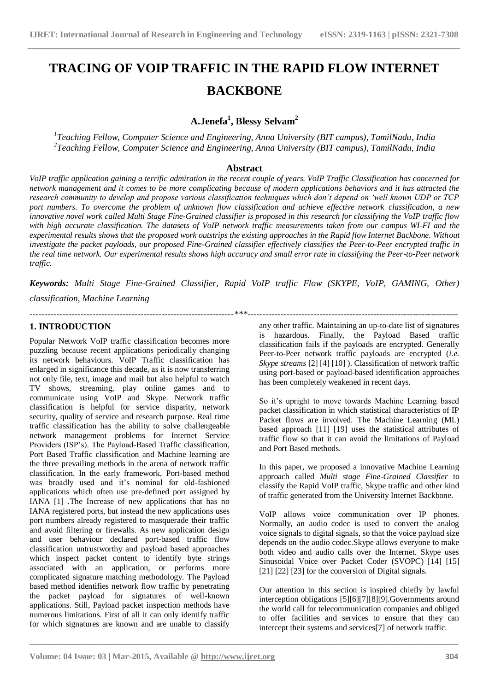# **TRACING OF VOIP TRAFFIC IN THE RAPID FLOW INTERNET BACKBONE**

# **A.Jenefa<sup>1</sup> , Blessy Selvam<sup>2</sup>**

*1 Teaching Fellow, Computer Science and Engineering, Anna University (BIT campus), TamilNadu, India 2 Teaching Fellow, Computer Science and Engineering, Anna University (BIT campus), TamilNadu, India*

### **Abstract**

*VoIP traffic application gaining a terrific admiration in the recent couple of years. VoIP Traffic Classification has concerned for network management and it comes to be more complicating because of modern applications behaviors and it has attracted the research community to develop and propose various classification techniques which don't depend on 'well known UDP or TCP port numbers. To overcome the problem of unknown flow classification and achieve effective network classification, a new innovative novel work called Multi Stage Fine-Grained classifier is proposed in this research for classifying the VoIP traffic flow with high accurate classification. The datasets of VoIP network traffic measurements taken from our campus WI-FI and the experimental results shows that the proposed work outstrips the existing approaches in the Rapid flow Internet Backbone. Without investigate the packet payloads, our proposed Fine-Grained classifier effectively classifies the Peer-to-Peer encrypted traffic in the real time network. Our experimental results shows high accuracy and small error rate in classifying the Peer-to-Peer network traffic.*

*Keywords: Multi Stage Fine-Grained Classifier, Rapid VoIP traffic Flow (SKYPE, VoIP, GAMING, Other)* 

*--------------------------------------------------------------------\*\*\*----------------------------------------------------------------------*

**\_\_\_\_\_\_\_\_\_\_\_\_\_\_\_\_\_\_\_\_\_\_\_\_\_\_\_\_\_\_\_\_\_\_\_\_\_\_\_\_\_\_\_\_\_\_\_\_\_\_\_\_\_\_\_\_\_\_\_\_\_\_\_\_\_\_\_\_\_\_\_\_\_\_\_\_\_\_\_\_\_\_\_\_\_\_\_**

# *classification, Machine Learning*

# **1. INTRODUCTION**

Popular Network VoIP traffic classification becomes more puzzling because recent applications periodically changing its network behaviours. VoIP Traffic classification has enlarged in significance this decade, as it is now transferring not only file, text, image and mail but also helpful to watch TV shows, streaming, play online games and to communicate using VoIP and Skype. Network traffic classification is helpful for service disparity, network security, quality of service and research purpose. Real time traffic classification has the ability to solve challengeable network management problems for Internet Service Providers (ISP's). The Payload-Based Traffic classification, Port Based Traffic classification and Machine learning are the three prevailing methods in the arena of network traffic classification. In the early framework, Port-based method was broadly used and it's nominal for old-fashioned applications which often use pre-defined port assigned by IANA [1] .The Increase of new applications that has no IANA registered ports, but instead the new applications uses port numbers already registered to masquerade their traffic and avoid filtering or firewalls. As new application design and user behaviour declared port-based traffic flow classification untrustworthy and payload based approaches which inspect packet content to identify byte strings associated with an application, or performs more complicated signature matching methodology. The Payload based method identifies network flow traffic by penetrating the packet payload for signatures of well-known applications. Still, Payload packet inspection methods have numerous limitations. First of all it can only identify traffic for which signatures are known and are unable to classify

any other traffic. Maintaining an up-to-date list of signatures is hazardous. Finally, the Payload Based traffic classification fails if the payloads are encrypted. Generally Peer-to-Peer network traffic payloads are encrypted (*i.e. Skype streams* [2] [4] [10] ). Classification of network traffic using port-based or payload-based identification approaches has been completely weakened in recent days.

So it's upright to move towards Machine Learning based packet classification in which statistical characteristics of IP Packet flows are involved. The Machine Learning (ML) based approach [11] [19] uses the statistical attributes of traffic flow so that it can avoid the limitations of Payload and Port Based methods.

In this paper, we proposed a innovative Machine Learning approach called *Multi stage Fine-Grained Classifier* to classify the Rapid VoIP traffic, Skype traffic and other kind of traffic generated from the University Internet Backbone.

VoIP allows voice communication over IP phones. Normally, an audio codec is used to convert the analog voice signals to digital signals, so that the voice payload size depends on the audio codec.Skype allows everyone to make both video and audio calls over the Internet. Skype uses Sinusoidal Voice over Packet Coder (SVOPC) [14] [15] [21] [22] [23] for the conversion of Digital signals.

Our attention in this section is inspired chiefly by lawful interception obligations [5][6][7][8][9].Governments around the world call for telecommunication companies and obliged to offer facilities and services to ensure that they can intercept their systems and services[7] of network traffic.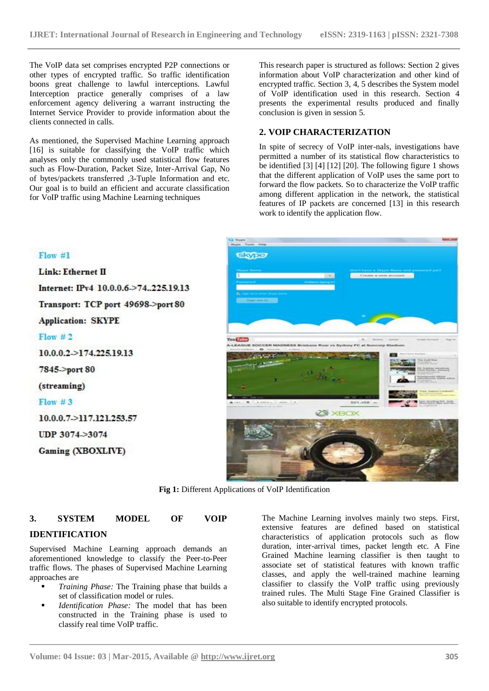The VoIP data set comprises encrypted P2P connections or other types of encrypted traffic. So traffic identification boons great challenge to lawful interceptions. Lawful Interception practice generally comprises of a law enforcement agency delivering a warrant instructing the Internet Service Provider to provide information about the clients connected in calls.

As mentioned, the Supervised Machine Learning approach [16] is suitable for classifying the VoIP traffic which analyses only the commonly used statistical flow features such as Flow-Duration, Packet Size, Inter-Arrival Gap, No of bytes/packets transferred ,3-Tuple Information and etc. Our goal is to build an efficient and accurate classification for VoIP traffic using Machine Learning techniques

Transport: TCP port 49698->port 80

This research paper is structured as follows: Section 2 gives information about VoIP characterization and other kind of encrypted traffic. Section 3, 4, 5 describes the System model of VoIP identification used in this research. Section 4 presents the experimental results produced and finally conclusion is given in session 5.

#### **2. VOIP CHARACTERIZATION**

In spite of secrecy of VoIP inter-nals, investigations have permitted a number of its statistical flow characteristics to be identified [3] [4] [12] [20]. The following figure 1 shows that the different application of VoIP uses the same port to forward the flow packets. So to characterize the VoIP traffic among different application in the network, the statistical features of IP packets are concerned [13] in this research work to identify the application flow.



**Fig 1:** Different Applications of VoIP Identification

**\_\_\_\_\_\_\_\_\_\_\_\_\_\_\_\_\_\_\_\_\_\_\_\_\_\_\_\_\_\_\_\_\_\_\_\_\_\_\_\_\_\_\_\_\_\_\_\_\_\_\_\_\_\_\_\_\_\_\_\_\_\_\_\_\_\_\_\_\_\_\_\_\_\_\_\_\_\_\_\_\_\_\_\_\_\_\_**

# **3. SYSTEM MODEL OF VOIP**

#### **IDENTIFICATION**

 $Flow#1$ 

 $Flow #2$ 

7845->port 80

(streaming)

 $Flow #3$ 

Link: Ethernet II

**Application: SKYPE** 

 $10.0.0.2 \rightarrow 174.225.19.13$ 

10.0.0.7->117.121.253.57

**Gaming (XBOXLIVE)** 

UDP 3074->3074

Supervised Machine Learning approach demands an aforementioned knowledge to classify the Peer-to-Peer traffic flows. The phases of Supervised Machine Learning approaches are

- *Training Phase:* The Training phase that builds a set of classification model or rules.
- *Identification Phase:* The model that has been constructed in the Training phase is used to classify real time VoIP traffic.

The Machine Learning involves mainly two steps. First, extensive features are defined based on statistical characteristics of application protocols such as flow duration, inter-arrival times, packet length etc. A Fine Grained Machine learning classifier is then taught to associate set of statistical features with known traffic classes, and apply the well-trained machine learning classifier to classify the VoIP traffic using previously trained rules. The Multi Stage Fine Grained Classifier is also suitable to identify encrypted protocols.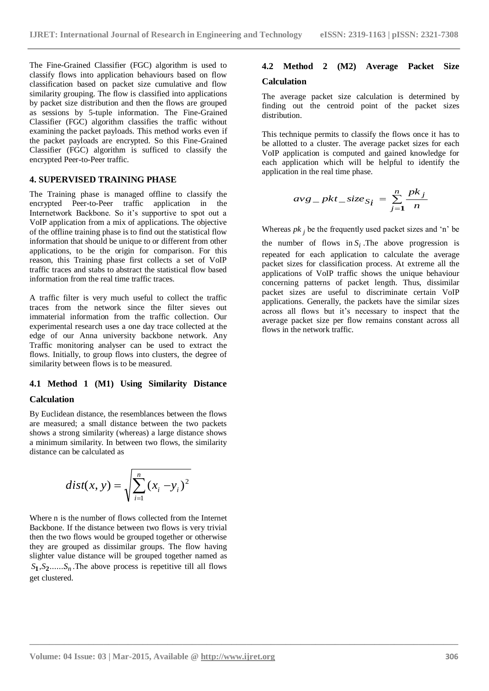The Fine-Grained Classifier (FGC) algorithm is used to classify flows into application behaviours based on flow classification based on packet size cumulative and flow similarity grouping. The flow is classified into applications by packet size distribution and then the flows are grouped as sessions by 5-tuple information. The Fine-Grained Classifier (FGC) algorithm classifies the traffic without examining the packet payloads. This method works even if the packet payloads are encrypted. So this Fine-Grained Classifier (FGC) algorithm is sufficed to classify the encrypted Peer-to-Peer traffic.

#### **4. SUPERVISED TRAINING PHASE**

The Training phase is managed offline to classify the encrypted Peer-to-Peer traffic application in the Internetwork Backbone. So it's supportive to spot out a VoIP application from a mix of applications. The objective of the offline training phase is to find out the statistical flow information that should be unique to or different from other applications, to be the origin for comparison. For this reason, this Training phase first collects a set of VoIP traffic traces and stabs to abstract the statistical flow based information from the real time traffic traces.

A traffic filter is very much useful to collect the traffic traces from the network since the filter sieves out immaterial information from the traffic collection. Our experimental research uses a one day trace collected at the edge of our Anna university backbone network. Any Traffic monitoring analyser can be used to extract the flows. Initially, to group flows into clusters, the degree of similarity between flows is to be measured.

# **4.1 Method 1 (M1) Using Similarity Distance**

#### **Calculation**

By Euclidean distance, the resemblances between the flows are measured; a small distance between the two packets shows a strong similarity (whereas) a large distance shows a minimum similarity. In between two flows, the similarity distance can be calculated as

$$
dist(x, y) = \sqrt{\sum_{i=1}^{n} (x_i - y_i)^2}
$$

Where n is the number of flows collected from the Internet Backbone. If the distance between two flows is very trivial then the two flows would be grouped together or otherwise they are grouped as dissimilar groups. The flow having slighter value distance will be grouped together named as  $S_1, S_2, \ldots, S_n$ . The above process is repetitive till all flows get clustered.

# **4.2 Method 2 (M2) Average Packet Size Calculation**

The average packet size calculation is determined by finding out the centroid point of the packet sizes distribution.

This technique permits to classify the flows once it has to be allotted to a cluster. The average packet sizes for each VoIP application is computed and gained knowledge for each application which will be helpful to identify the application in the real time phase.

$$
avg\_pkt\_size_{S_i} = \sum_{j=1}^{n} \frac{pk_j}{n}
$$

Whereas  $pk_j$  be the frequently used packet sizes and 'n' be the number of flows in  $S_i$ . The above progression is repeated for each application to calculate the average packet sizes for classification process. At extreme all the applications of VoIP traffic shows the unique behaviour concerning patterns of packet length. Thus, dissimilar packet sizes are useful to discriminate certain VoIP applications. Generally, the packets have the similar sizes across all flows but it's necessary to inspect that the average packet size per flow remains constant across all flows in the network traffic.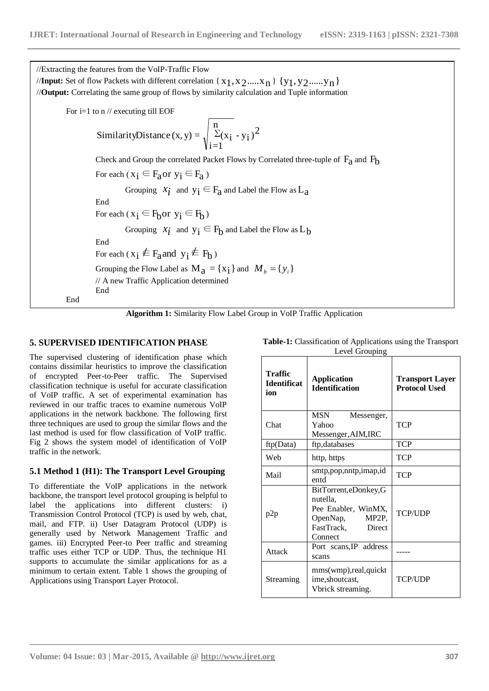| //Extracting the features from the VoIP-Traffic Flow                                                        |  |  |  |  |  |
|-------------------------------------------------------------------------------------------------------------|--|--|--|--|--|
| / <b>/Input:</b> Set of flow Packets with different correlation { $x_1, x_2, , x_n$ } { $y_1, y_2, , y_n$ } |  |  |  |  |  |
| //Output: Correlating the same group of flows by similarity calculation and Tuple information               |  |  |  |  |  |
| For i=1 to $n$ // executing till EOF                                                                        |  |  |  |  |  |
| SimilarityDistance (x, y) = $\sqrt{\sum_{i=1}^{n} (x_i - y_i)^2}$                                           |  |  |  |  |  |
| Check and Group the correlated Packet Flows by Correlated three-tuple of $F_a$ and $F_b$                    |  |  |  |  |  |
| For each $(x_i \in F_a$ or $y_i \in F_a$ )                                                                  |  |  |  |  |  |
| Grouping $x_i$ and $y_i \in F_a$ and Label the Flow as $L_a$                                                |  |  |  |  |  |
| End                                                                                                         |  |  |  |  |  |
| For each $(x_i \in F_h$ or $y_i \in F_h$ )                                                                  |  |  |  |  |  |
| Grouping $x_i$ and $y_i \in F_h$ and Label the Flow as $L_h$                                                |  |  |  |  |  |
| End                                                                                                         |  |  |  |  |  |
| For each ( $x_i \notin F_a$ and $y_i \notin F_b$ )                                                          |  |  |  |  |  |
| Grouping the Flow Label as $M_a = \{x_i\}$ and $M_b = \{y_i\}$                                              |  |  |  |  |  |
| // A new Traffic Application determined                                                                     |  |  |  |  |  |
| End<br>End                                                                                                  |  |  |  |  |  |



**\_\_\_\_\_\_\_\_\_\_\_\_\_\_\_\_\_\_\_\_\_\_\_\_\_\_\_\_\_\_\_\_\_\_\_\_\_\_\_\_\_\_\_\_\_\_\_\_\_\_\_\_\_\_\_\_\_\_\_\_\_\_\_\_\_\_\_\_\_\_\_\_\_\_\_\_\_\_\_\_\_\_\_\_\_\_\_**

#### **5. SUPERVISED IDENTIFICATION PHASE**

The supervised clustering of identification phase which contains dissimilar heuristics to improve the classification of encrypted Peer-to-Peer traffic. The Supervised classification technique is useful for accurate classification of VoIP traffic. A set of experimental examination has reviewed in our traffic traces to examine numerous VoIP applications in the network backbone. The following first three techniques are used to group the similar flows and the last method is used for flow classification of VoIP traffic. Fig 2 shows the system model of identification of VoIP traffic in the network.

#### **5.1 Method 1 (H1): The Transport Level Grouping**

To differentiate the VoIP applications in the network backbone, the transport level protocol grouping is helpful to label the applications into different clusters: i) Transmission Control Protocol (TCP) is used by web, chat, mail, and FTP. ii) User Datagram Protocol (UDP) is generally used by Network Management Traffic and games. iii) Encrypted Peer-to Peer traffic and streaming traffic uses either TCP or UDP. Thus, the technique H1 supports to accumulate the similar applications for as a minimum to certain extent. Table 1 shows the grouping of Applications using Transport Layer Protocol.

| Traffic<br><b>Identificat</b><br>ion | <b>Application</b><br><b>Identification</b>                                                                    | <b>Transport Layer</b><br><b>Protocol Used</b> |  |  |  |  |  |  |
|--------------------------------------|----------------------------------------------------------------------------------------------------------------|------------------------------------------------|--|--|--|--|--|--|
| Chat                                 | MSN<br>Messenger,<br>Yahoo<br>Messenger, AIM, IRC                                                              | TCP                                            |  |  |  |  |  |  |
| ftp(Data)                            | ftp,databases                                                                                                  | <b>TCP</b>                                     |  |  |  |  |  |  |
| Web                                  | http, https                                                                                                    | TCP                                            |  |  |  |  |  |  |
| Mail                                 | smtp, pop, nntp, imap, id<br>entd                                                                              | TCP                                            |  |  |  |  |  |  |
| p2p                                  | BitTorrent, eDonkey, G<br>nutella,<br>Pee Enabler, WinMX,<br>OpenNap, MP2P,<br>FastTrack,<br>Direct<br>Connect | <b>TCP/UDP</b>                                 |  |  |  |  |  |  |
| Attack                               | Port scans, IP address<br>scans                                                                                |                                                |  |  |  |  |  |  |
| Streaming                            | mms(wmp), real, quickt<br>ime, shoutcast,<br>Vbrick streaming.                                                 | <b>TCP/UDP</b>                                 |  |  |  |  |  |  |

**Table-1:** Classification of Applications using the Transport Level Grouping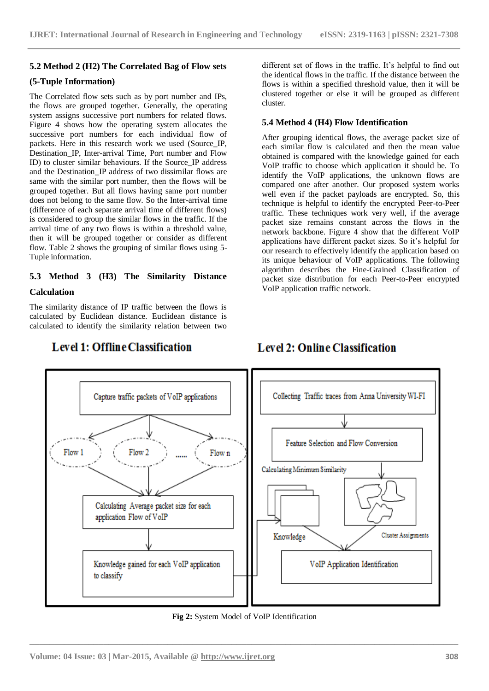#### **5.2 Method 2 (H2) The Correlated Bag of Flow sets**

#### **(5-Tuple Information)**

The Correlated flow sets such as by port number and IPs, the flows are grouped together. Generally, the operating system assigns successive port numbers for related flows. Figure 4 shows how the operating system allocates the successive port numbers for each individual flow of packets. Here in this research work we used (Source\_IP, Destination IP, Inter-arrival Time, Port number and Flow ID) to cluster similar behaviours. If the Source\_IP address and the Destination\_IP address of two dissimilar flows are same with the similar port number, then the flows will be grouped together. But all flows having same port number does not belong to the same flow. So the Inter-arrival time (difference of each separate arrival time of different flows) is considered to group the similar flows in the traffic. If the arrival time of any two flows is within a threshold value, then it will be grouped together or consider as different flow. Table 2 shows the grouping of similar flows using 5- Tuple information.

# **5.3 Method 3 (H3) The Similarity Distance**

#### **Calculation**

The similarity distance of IP traffic between the flows is calculated by Euclidean distance. Euclidean distance is calculated to identify the similarity relation between two

**Level 1: Offline Classification** 

different set of flows in the traffic. It's helpful to find out the identical flows in the traffic. If the distance between the flows is within a specified threshold value, then it will be clustered together or else it will be grouped as different cluster.

#### **5.4 Method 4 (H4) Flow Identification**

After grouping identical flows, the average packet size of each similar flow is calculated and then the mean value obtained is compared with the knowledge gained for each VoIP traffic to choose which application it should be. To identify the VoIP applications, the unknown flows are compared one after another. Our proposed system works well even if the packet payloads are encrypted. So, this technique is helpful to identify the encrypted Peer-to-Peer traffic. These techniques work very well, if the average packet size remains constant across the flows in the network backbone. Figure 4 show that the different VoIP applications have different packet sizes. So it's helpful for our research to effectively identify the application based on its unique behaviour of VoIP applications. The following algorithm describes the Fine-Grained Classification of packet size distribution for each Peer-to-Peer encrypted VoIP application traffic network.

# **Level 2: Online Classification**



#### **Fig 2:** System Model of VoIP Identification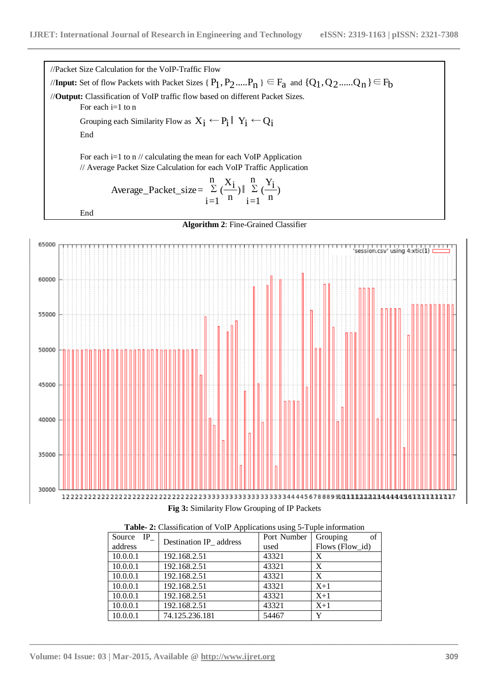End

//Packet Size Calculation for the VoIP-Traffic Flow //**Input:** Set of flow Packets with Packet Sizes {  $P_1$  ,  $P_2$ ...... $P_n$  }  $\in F_a$  and {Q<sub>1</sub>,Q<sub>2</sub>......Q<sub>n</sub>} } $\in F_b$ //**Output:** Classification of VoIP traffic flow based on different Packet Sizes. For each  $i=1$  to n Grouping each Similarity Flow as  $X_i \leftarrow P_i \parallel Y_i \leftarrow Q_i$ End For each i=1 to n // calculating the mean for each VoIP Application // Average Packet Size Calculation for each VoIP Traffic Application ∑ n  $i=1$ ) n Average\_Packet\_size=  $\sum_{i=1}^{n} \left( \frac{X_i}{X_i} \right) \parallel \sum_{i=1}^{n}$ n  $i=1$ ) n  $\frac{Y_i}{\frac{1}{1-\epsilon}}$ 





**Fig 3:** Similarity Flow Grouping of IP Packets

| Source IP | Destination IP address | Port Number | of<br>Grouping  |
|-----------|------------------------|-------------|-----------------|
| address   |                        | used        | Flows (Flow_id) |
| 10.0.0.1  | 192.168.2.51           | 43321       | X               |
| 10.0.0.1  | 192.168.2.51           | 43321       | X               |
| 10.0.0.1  | 192.168.2.51           | 43321       | X               |
| 10.0.0.1  | 192.168.2.51           | 43321       | $X+1$           |
| 10.0.0.1  | 192.168.2.51           | 43321       | $X+1$           |
| 10.0.0.1  | 192.168.2.51           | 43321       | $X+1$           |
| 10.0.0.1  | 74.125.236.181         | 54467       | v               |

**Table- 2:** Classification of VoIP Applications using 5-Tuple information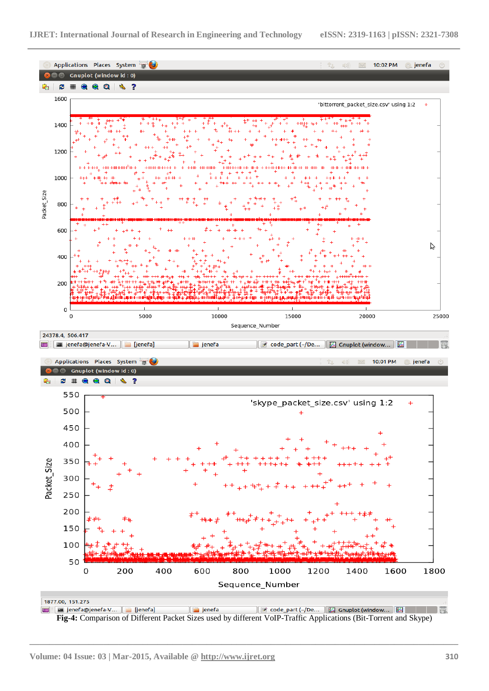

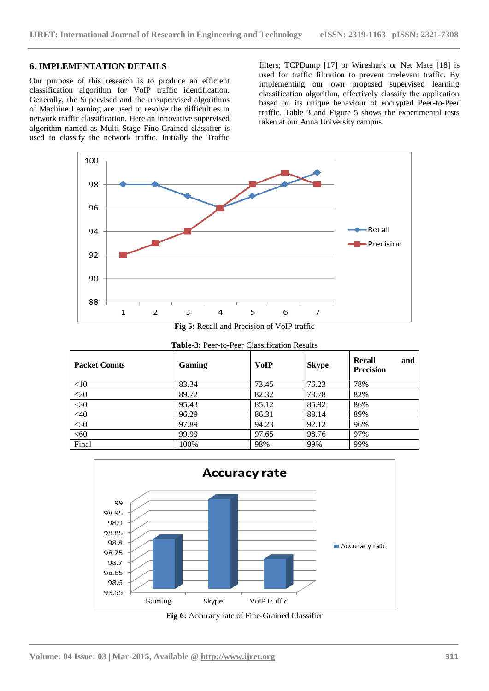#### **6. IMPLEMENTATION DETAILS**

Our purpose of this research is to produce an efficient classification algorithm for VoIP traffic identification. Generally, the Supervised and the unsupervised algorithms of Machine Learning are used to resolve the difficulties in network traffic classification. Here an innovative supervised algorithm named as Multi Stage Fine-Grained classifier is used to classify the network traffic. Initially the Traffic

filters; TCPDump [17] or Wireshark or Net Mate [18] is used for traffic filtration to prevent irrelevant traffic. By implementing our own proposed supervised learning classification algorithm, effectively classify the application based on its unique behaviour of encrypted Peer-to-Peer traffic. Table 3 and Figure 5 shows the experimental tests taken at our Anna University campus.



**Fig 5:** Recall and Precision of VoIP traffic

| <b>Table-3: Peer-to-Peer Classification Results</b> |        |             |              |                                   |  |
|-----------------------------------------------------|--------|-------------|--------------|-----------------------------------|--|
| <b>Packet Counts</b>                                | Gaming | <b>VoIP</b> | <b>Skype</b> | Recall<br>and<br><b>Precision</b> |  |
| $<$ 10                                              | 83.34  | 73.45       | 76.23        | 78%                               |  |
| $<$ 20                                              | 89.72  | 82.32       | 78.78        | 82%                               |  |
| $<$ 30                                              | 95.43  | 85.12       | 85.92        | 86%                               |  |
| $<$ 40                                              | 96.29  | 86.31       | 88.14        | 89%                               |  |
| $50$                                                | 97.89  | 94.23       | 92.12        | 96%                               |  |
| < 60                                                | 99.99  | 97.65       | 98.76        | 97%                               |  |
| Final                                               | 100%   | 98%         | 99%          | 99%                               |  |

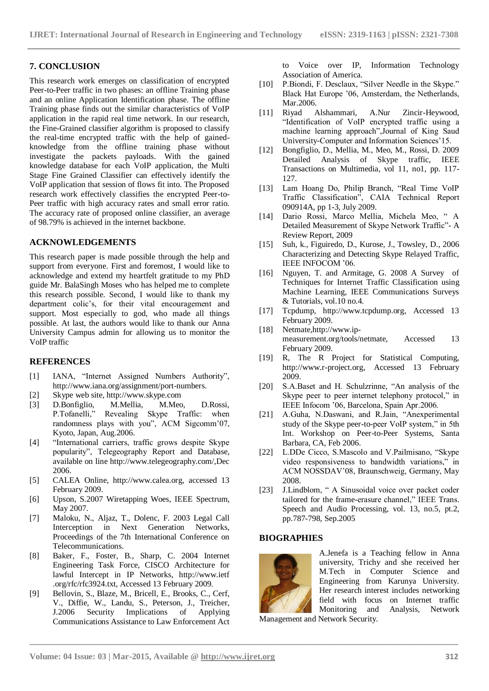#### **7. CONCLUSION**

This research work emerges on classification of encrypted Peer-to-Peer traffic in two phases: an offline Training phase and an online Application Identification phase. The offline Training phase finds out the similar characteristics of VoIP application in the rapid real time network. In our research, the Fine-Grained classifier algorithm is proposed to classify the real-time encrypted traffic with the help of gainedknowledge from the offline training phase without investigate the packets payloads. With the gained knowledge database for each VoIP application, the Multi Stage Fine Grained Classifier can effectively identify the VoIP application that session of flows fit into. The Proposed research work effectively classifies the encrypted Peer-to-Peer traffic with high accuracy rates and small error ratio. The accuracy rate of proposed online classifier, an average of 98.79% is achieved in the internet backbone.

#### **ACKNOWLEDGEMENTS**

This research paper is made possible through the help and support from everyone. First and foremost, I would like to acknowledge and extend my heartfelt gratitude to my PhD guide Mr. BalaSingh Moses who has helped me to complete this research possible. Second, I would like to thank my department colic's, for their vital encouragement and support. Most especially to god, who made all things possible. At last, the authors would like to thank our Anna University Campus admin for allowing us to monitor the VoIP traffic

#### **REFERENCES**

- [1] IANA, "Internet Assigned Numbers Authority", http://www.iana.org/assignment/port-numbers.
- [2] Skype web site, [http://www.skype.com](http://www.skype.com/)
- [3] D.Bonfiglio, M.Mellia, M.Meo, D.Rossi,<br>P.Tofanelli." Revealing Skype Traffic: when Revealing Skype Traffic: when randomness plays with you", ACM Sigcomm'07, Kyoto, Japan, Aug.2006.
- [4] "International carriers, traffic grows despite Skype popularity", Telegeography Report and Database, available on line<http://www.telegeography.com/,Dec> 2006.
- [5] CALEA Online, [http://www.calea.org,](http://www.calea.org/) accessed 13 February 2009.
- [6] Upson, S.2007 Wiretapping Woes, IEEE Spectrum, May 2007.
- [7] Maloku, N., Aljaz, T., Dolenc, F. 2003 Legal Call Interception in Next Generation Networks, Proceedings of the 7th International Conference on Telecommunications.
- [8] Baker, F., Foster, B., Sharp, C. 2004 Internet Engineering Task Force, CISCO Architecture for lawful Intercept in IP Networks, http://www.ietf .org/rfc/rfc3924.txt, Accessed 13 February 2009.
- [9] Bellovin, S., Blaze, M., Bricell, E., Brooks, C., Cerf, V., Diffie, W., Landu, S., Peterson, J., Treicher, J.2006 Security Implications of Applying Communications Assistance to Law Enforcement Act

to Voice over IP, Information Technology Association of America.

- [10] P.Biondi, F. Desclaux, "Silver Needle in the Skype." Black Hat Europe '06, Amsterdam, the Netherlands, Mar.2006.
- [11] Riyad Alshammari, A.Nur Zincir-Heywood, "Identification of VoIP encrypted traffic using a machine learning approach",Journal of King Saud University-Computer and Information Sciences'15.
- [12] Bongfiglio, D., Mellia, M., Meo, M., Rossi, D. 2009 Detailed Analysis of Skype traffic, IEEE Transactions on Multimedia, vol 11, no1, pp. 117- 127.
- [13] Lam Hoang Do, Philip Branch, "Real Time VoIP Traffic Classification", CAIA Technical Report 090914A, pp 1-3, July 2009.
- [14] Dario Rossi, Marco Mellia, Michela Meo, " A Detailed Measurement of Skype Network Traffic"- A Review Report, 2009
- [15] Suh, k., Figuiredo, D., Kurose, J., Towsley, D., 2006 Characterizing and Detecting Skype Relayed Traffic, IEEE INFOCOM '06.
- [16] Nguyen, T. and Armitage, G. 2008 A Survey of Techniques for Internet Traffic Classification using Machine Learning, IEEE Communications Surveys & Tutorials, vol.10 no.4.
- [17] Tcpdump, [http://www.tcpdump.org,](http://www.tcpdump.org/) Accessed 13 February 2009.
- [18] Netmat[e,http://www.ip](http://www.ip-measurement.org/tools/netmate)[measurement.org/tools/netmate,](http://www.ip-measurement.org/tools/netmate) Accessed 13 February 2009.
- [19] R, The R Project for Statistical Computing, [http://www.r-project.org,](http://www.r-project.org/) Accessed 13 February 2009.
- [20] S.A.Baset and H. Schulzrinne, "An analysis of the Skype peer to peer internet telephony protocol," in IEEE Infocom '06, Barcelona, Spain Apr.2006.
- [21] A.Guha, N.Daswani, and R.Jain, "Anexperimental study of the Skype peer-to-peer VoIP system," in 5th Int. Workshop on Peer-to-Peer Systems, Santa Barbara, CA, Feb 2006.
- [22] L.DDe Cicco, S.Mascolo and V.Pailmisano, "Skype" video responsiveness to bandwidth variations," in ACM NOSSDAV'08, Braunschweig, Germany, May 2008.
- [23] J.Lindblom, " A Sinusoidal voice over packet coder tailored for the frame-erasure channel." IEEE Trans. Speech and Audio Processing, vol. 13, no.5, pt.2, pp.787-798, Sep.2005

#### **BIOGRAPHIES**



**\_\_\_\_\_\_\_\_\_\_\_\_\_\_\_\_\_\_\_\_\_\_\_\_\_\_\_\_\_\_\_\_\_\_\_\_\_\_\_\_\_\_\_\_\_\_\_\_\_\_\_\_\_\_\_\_\_\_\_\_\_\_\_\_\_\_\_\_\_\_\_\_\_\_\_\_\_\_\_\_\_\_\_\_\_\_\_**

A.Jenefa is a Teaching fellow in Anna university, Trichy and she received her M.Tech in Computer Science and Engineering from Karunya University. Her research interest includes networking field with focus on Internet traffic Monitoring and Analysis, Network

Management and Network Security.